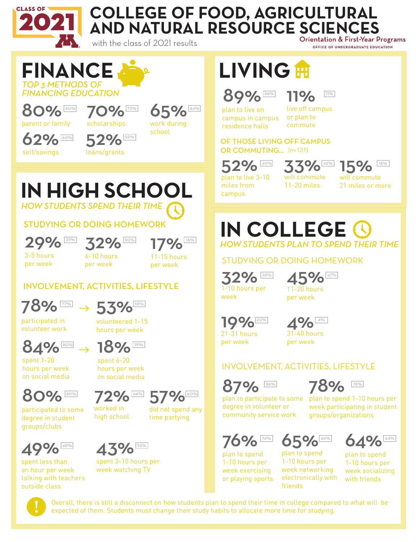

80% 80% parent or family

62% self/savings

*TOP 3 METHODS OF FINANCING EDUCATION*

**FINANCE**

60%

### **COLLEGE OF FOOD, AGRICULTURAL AND NATURAL RESOURCE SCIENCES**

with the class of 2021 results

72%

55%

## **LIVING**

89% 11%

plan to live on campus in campus residence halls

11% live off campus or plan to commute

OF THOSE LIVING OFF CAMPUS OR COMMUTING... (n=131)

 $2\%$ plan to live 3-10

miles from campus

will commute

11-20 miles

STUDYING OR DOING HOMEWORK

**IN COLLEGE**

*HOW STUDENTS PLAN TO SPEND THEIR TIME*

45% 11-20 hours per week

40% 33% 15% 18% 15%

OFFICE OF UNDERGRADUATE EDUCATION

will commute 21 miles or more

*HOW STUDENTS SPEND THEIR TIME* **IN HIGH SCHOOL**

70% scholarships

52% loans/grants

#### STUDYING OR DOING HOMEWORK



32%  $\frac{25\%}{32\%}$  17%

3-5 hours per week

6-10 hours per week

11-15 hours per week

65%

work during school

### INVOLVEMENT, ACTIVITIES, LIFESTYLE



 $\frac{17796}{200} \rightarrow 53\%$ 

participated in volunteer work

spent 1-20 hours per week on social media volunteered 1-15 hours per week



 $\frac{180\%}{180\%}$   $\rightarrow$  18% spent 6-20

hours per week on social media



participated to some degree in student groups/clubs

worked in high school



did not spend any time partying



spent less than an hour per week talking with teachers outside class



spent 3-10 hours per week watching TV

plan to participate to some degree in volunteer or community service work

week participating in student groups/organizations

78%

76% plan to spend

19% 21-31 hours per week

 $32\%$ 

 $28%$ 

week

1-10 hours per week exercising or playing sports

65% plan to spend 1-10 hours per week networking

friends



plan to spend 1-10 hours per

86% 78%

plan to spend 1-10 hours per week socializing with friends electronically with



Overall, there is still a disconnect on how students plan to spend their time in college compared to what will be expected of them. Students must change their study habits to allocate more time for studying.



#### INVOLVEMENT, ACTIVITIES, LIFESTYLE

87%